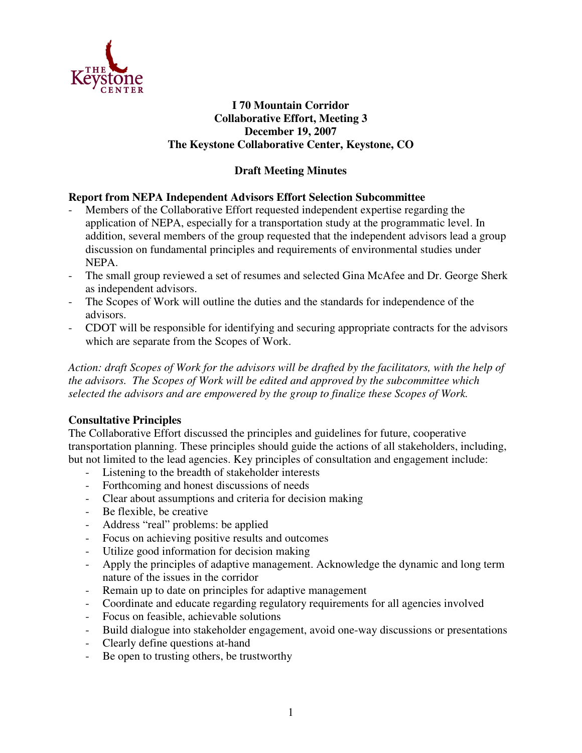

## **I 70 Mountain Corridor Collaborative Effort, Meeting 3 December 19, 2007 The Keystone Collaborative Center, Keystone, CO**

# **Draft Meeting Minutes**

## **Report from NEPA Independent Advisors Effort Selection Subcommittee**

- Members of the Collaborative Effort requested independent expertise regarding the application of NEPA, especially for a transportation study at the programmatic level. In addition, several members of the group requested that the independent advisors lead a group discussion on fundamental principles and requirements of environmental studies under NEPA.
- The small group reviewed a set of resumes and selected Gina McAfee and Dr. George Sherk as independent advisors.
- The Scopes of Work will outline the duties and the standards for independence of the advisors.
- CDOT will be responsible for identifying and securing appropriate contracts for the advisors which are separate from the Scopes of Work.

Action: draft Scopes of Work for the advisors will be drafted by the facilitators, with the help of *the advisors. The Scopes of Work will be edited and approved by the subcommittee which selected the advisors and are empowered by the group to finalize these Scopes of Work.*

## **Consultative Principles**

The Collaborative Effort discussed the principles and guidelines for future, cooperative transportation planning. These principles should guide the actions of all stakeholders, including, but not limited to the lead agencies. Key principles of consultation and engagement include:

- Listening to the breadth of stakeholder interests
- Forthcoming and honest discussions of needs
- Clear about assumptions and criteria for decision making
- Be flexible, be creative
- Address "real" problems: be applied
- Focus on achieving positive results and outcomes
- Utilize good information for decision making
- Apply the principles of adaptive management. Acknowledge the dynamic and long term nature of the issues in the corridor
- Remain up to date on principles for adaptive management
- Coordinate and educate regarding regulatory requirements for all agencies involved
- Focus on feasible, achievable solutions
- Build dialogue into stakeholder engagement, avoid one-way discussions or presentations
- Clearly define questions at-hand
- Be open to trusting others, be trustworthy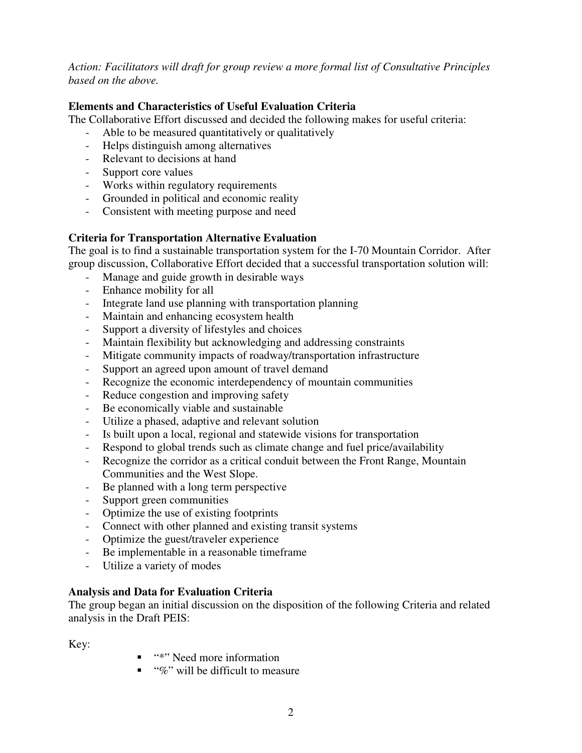*Action: Facilitators will draft for group review a more formal list of Consultative Principles based on the above.*

## **Elements and Characteristics of Useful Evaluation Criteria**

The Collaborative Effort discussed and decided the following makes for useful criteria:

- Able to be measured quantitatively or qualitatively
- Helps distinguish among alternatives
- Relevant to decisions at hand
- Support core values
- Works within regulatory requirements
- Grounded in political and economic reality
- Consistent with meeting purpose and need

# **Criteria for Transportation Alternative Evaluation**

The goal is to find a sustainable transportation system for the I-70 Mountain Corridor. After group discussion, Collaborative Effort decided that a successful transportation solution will:

- Manage and guide growth in desirable ways
- Enhance mobility for all
- Integrate land use planning with transportation planning
- Maintain and enhancing ecosystem health
- Support a diversity of lifestyles and choices
- Maintain flexibility but acknowledging and addressing constraints
- Mitigate community impacts of roadway/transportation infrastructure
- Support an agreed upon amount of travel demand
- Recognize the economic interdependency of mountain communities
- Reduce congestion and improving safety
- Be economically viable and sustainable
- Utilize a phased, adaptive and relevant solution
- Is built upon a local, regional and statewide visions for transportation
- Respond to global trends such as climate change and fuel price/availability
- Recognize the corridor as a critical conduit between the Front Range, Mountain Communities and the West Slope.
- Be planned with a long term perspective
- Support green communities
- Optimize the use of existing footprints
- Connect with other planned and existing transit systems
- Optimize the guest/traveler experience
- Be implementable in a reasonable timeframe
- Utilize a variety of modes

## **Analysis and Data for Evaluation Criteria**

The group began an initial discussion on the disposition of the following Criteria and related analysis in the Draft PEIS:

Key:

- "\*" Need more information
- $\blacksquare$  "%" will be difficult to measure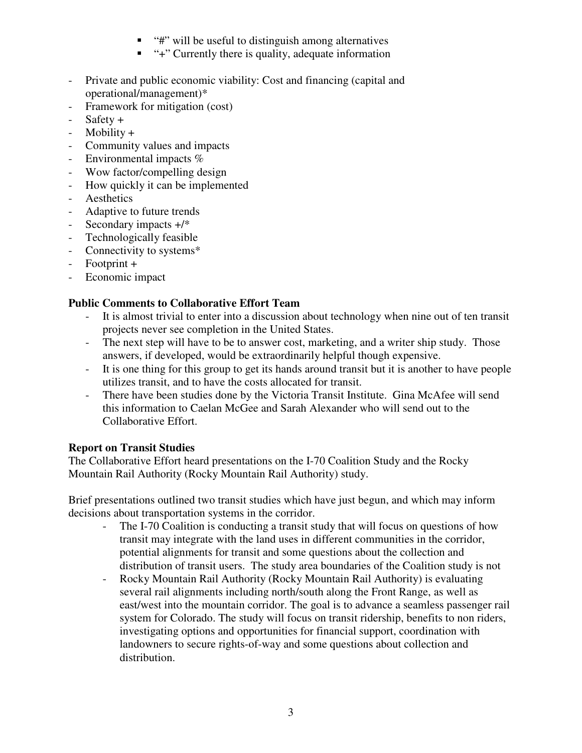- $\blacksquare$  "#" will be useful to distinguish among alternatives
- "+" Currently there is quality, adequate information
- Private and public economic viability: Cost and financing (capital and operational/management)\*
- Framework for mitigation (cost)
- $Safety +$
- Mobility +
- Community values and impacts
- Environmental impacts %
- Wow factor/compelling design
- How quickly it can be implemented
- **Aesthetics**
- Adaptive to future trends
- Secondary impacts  $+$ /\*
- Technologically feasible
- Connectivity to systems\*
- Footprint +
- Economic impact

# **Public Comments to Collaborative Effort Team**

- It is almost trivial to enter into a discussion about technology when nine out of ten transit projects never see completion in the United States.
- The next step will have to be to answer cost, marketing, and a writer ship study. Those answers, if developed, would be extraordinarily helpful though expensive.
- It is one thing for this group to get its hands around transit but it is another to have people utilizes transit, and to have the costs allocated for transit.
- There have been studies done by the Victoria Transit Institute. Gina McAfee will send this information to Caelan McGee and Sarah Alexander who will send out to the Collaborative Effort.

# **Report on Transit Studies**

The Collaborative Effort heard presentations on the I-70 Coalition Study and the Rocky Mountain Rail Authority (Rocky Mountain Rail Authority) study.

Brief presentations outlined two transit studies which have just begun, and which may inform decisions about transportation systems in the corridor.

- The I-70 Coalition is conducting a transit study that will focus on questions of how transit may integrate with the land uses in different communities in the corridor, potential alignments for transit and some questions about the collection and distribution of transit users. The study area boundaries of the Coalition study is not
- Rocky Mountain Rail Authority (Rocky Mountain Rail Authority) is evaluating several rail alignments including north/south along the Front Range, as well as east/west into the mountain corridor. The goal is to advance a seamless passenger rail system for Colorado. The study will focus on transit ridership, benefits to non riders, investigating options and opportunities for financial support, coordination with landowners to secure rights-of-way and some questions about collection and distribution.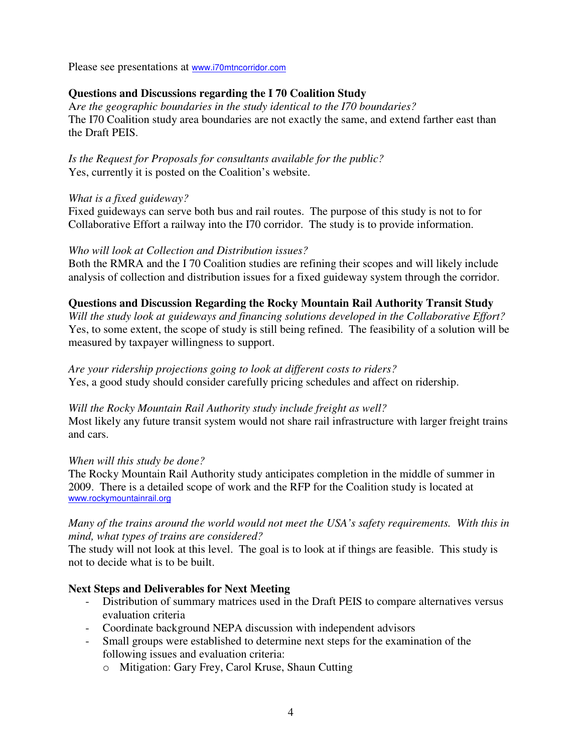Please see presentations at www.i70mtncorridor.com

#### **Questions and Discussions regarding the I 70 Coalition Study**

A*re the geographic boundaries in the study identical to the I70 boundaries?* The I70 Coalition study area boundaries are not exactly the same, and extend farther east than the Draft PEIS.

*Is the Request for Proposals for consultants available for the public?* Yes, currently it is posted on the Coalition's website.

#### *What is a fixed guideway?*

Fixed guideways can serve both bus and rail routes. The purpose of this study is not to for Collaborative Effort a railway into the I70 corridor. The study is to provide information.

#### *Who will look at Collection and Distribution issues?*

Both the RMRA and the I 70 Coalition studies are refining their scopes and will likely include analysis of collection and distribution issues for a fixed guideway system through the corridor.

#### **Questions and Discussion Regarding the Rocky Mountain Rail Authority Transit Study**

*Will the study look at guideways and financing solutions developed in the Collaborative Effort?* Yes, to some extent, the scope of study is still being refined. The feasibility of a solution will be measured by taxpayer willingness to support.

# *Are your ridership projections going to look at different costs to riders?*

Yes, a good study should consider carefully pricing schedules and affect on ridership.

#### *Will the Rocky Mountain Rail Authority study include freight as well?*

Most likely any future transit system would not share rail infrastructure with larger freight trains and cars.

#### *When will this study be done?*

The Rocky Mountain Rail Authority study anticipates completion in the middle of summer in 2009. There is a detailed scope of work and the RFP for the Coalition study is located at www.rockymountainrail.org

#### *Many of the trains around the world would not meet the USA's safety requirements. With this in mind, what types of trains are considered?*

The study will not look at this level. The goal is to look at if things are feasible. This study is not to decide what is to be built.

#### **Next Steps and Deliverables for Next Meeting**

- Distribution of summary matrices used in the Draft PEIS to compare alternatives versus evaluation criteria
- Coordinate background NEPA discussion with independent advisors
- Small groups were established to determine next steps for the examination of the following issues and evaluation criteria:
	- o Mitigation: Gary Frey, Carol Kruse, Shaun Cutting